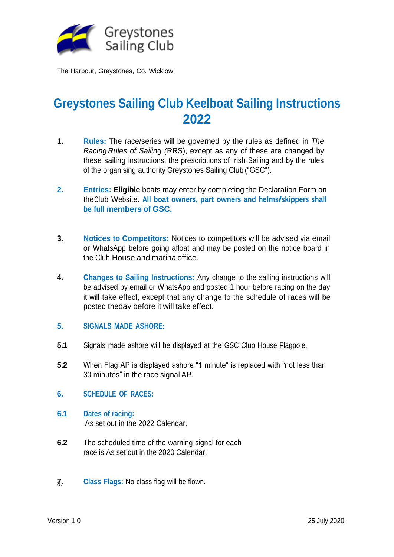

# **Greystones Sailing Club Keelboat Sailing Instructions 2022**

- **1. Rules:** The race/series will be governed by the rules as defined in *The Racing Rules of Sailing (*RRS), except as any of these are changed by these sailing instructions, the prescriptions of Irish Sailing and by the rules of the organising authority Greystones Sailing Club ("GSC").
- **2. Entries: Eligible** boats may enter by completing the Declaration Form on theClub Website. **All boat owners, part owners and helms/skippers shall be full members of GSC.**
- **3. Notices to Competitors:** Notices to competitors will be advised via email or WhatsApp before going afloat and may be posted on the notice board in the Club House and marina office.
- **4. Changes to Sailing Instructions:** Any change to the sailing instructions will be advised by email or WhatsApp and posted 1 hour before racing on the day it will take effect, except that any change to the schedule of races will be posted theday before it will take effect.
- **5. SIGNALS MADE ASHORE:**
- **5.1** Signals made ashore will be displayed at the GSC Club House Flagpole.
- **5.2** When Flag AP is displayed ashore "1 minute" is replaced with "not less than 30 minutes" in the race signal AP.
- **6. SCHEDULE OF RACES:**
- **6.1 Dates of racing:** As set out in the 2022 Calendar.
- **6.2** The scheduled time of the warning signal for each race is:As set out in the 2020 Calendar.
- **7. Class Flags:** No class flag will be flown. 8.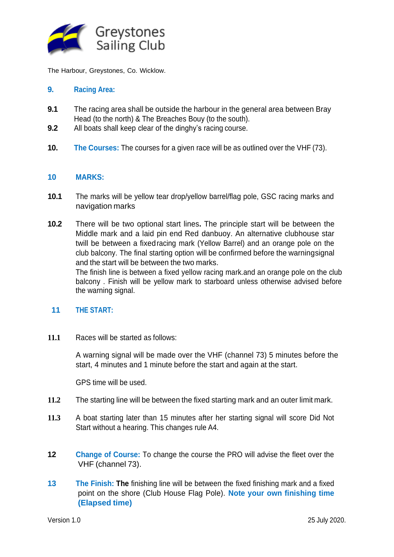

# **9. Racing Area:**

- **9.1** The racing area shall be outside the harbour in the general area between Bray Head (to the north) & The Breaches Bouy (to the south).
- **9.2** All boats shall keep clear of the dinghy's racing course.
- **10. The Courses:** The courses for a given race will be as outlined over the VHF (73).

# **10 MARKS:**

- **10.1** The marks will be yellow tear drop/yellow barrel/flag pole, GSC racing marks and navigation marks
- **10.2** There will be two optional start lines**.** The principle start will be between the Middle mark and a laid pin end Red danbuoy. An alternative clubhouse star twill be between a fixedracing mark (Yellow Barrel) and an orange pole on the club balcony. The final starting option will be confirmed before the warningsignal and the start will be between the two marks.

The finish line is between a fixed yellow racing mark.and an orange pole on the club balcony . Finish will be yellow mark to starboard unless otherwise advised before the warning signal.

#### **11 THE START:**

**11.1** Races will be started as follows:

A warning signal will be made over the VHF (channel 73) 5 minutes before the start, 4 minutes and 1 minute before the start and again at the start.

GPS time will be used.

- **11.2** The starting line will be between the fixed starting mark and an outer limit mark.
- **11.3** A boat starting later than 15 minutes after her starting signal will score Did Not Start without a hearing. This changes rule A4.
- **12 Change of Course:** To change the course the PRO will advise the fleet over the VHF (channel 73).
- **13 The Finish: The** finishing line will be between the fixed finishing mark and a fixed point on the shore (Club House Flag Pole). **Note your own finishing time (Elapsed time)**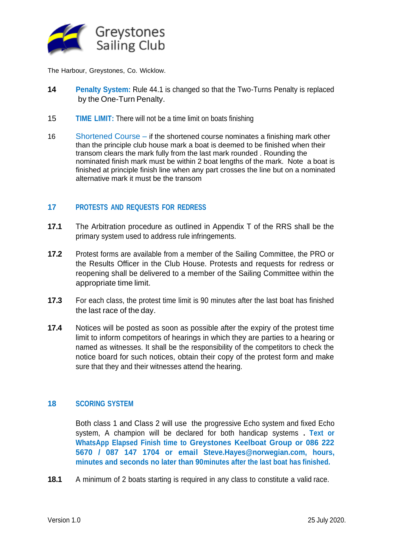

- **14 Penalty System:** Rule 44.1 is changed so that the Two-Turns Penalty is replaced by the One-Turn Penalty.
- 15 **TIME LIMIT:** There will not be a time limit on boats finishing
- 16 Shortened Course if the shortened course nominates a finishing mark other than the principle club house mark a boat is deemed to be finished when their transom clears the mark fully from the last mark rounded . Rounding the nominated finish mark must be within 2 boat lengths of the mark. Note a boat is finished at principle finish line when any part crosses the line but on a nominated alternative mark it must be the transom

# **17 PROTESTS AND REQUESTS FOR REDRESS**

- **17.1** The Arbitration procedure as outlined in Appendix T of the RRS shall be the primary system used to address rule infringements.
- **17.2** Protest forms are available from a member of the Sailing Committee, the PRO or the Results Officer in the Club House. Protests and requests for redress or reopening shall be delivered to a member of the Sailing Committee within the appropriate time limit.
- **17.3** For each class, the protest time limit is 90 minutes after the last boat has finished the last race of the day.
- **17.4** Notices will be posted as soon as possible after the expiry of the protest time limit to inform competitors of hearings in which they are parties to a hearing or named as witnesses. It shall be the responsibility of the competitors to check the notice board for such notices, obtain their copy of the protest form and make sure that they and their witnesses attend the hearing.

#### **18 SCORING SYSTEM**

Both class 1 and Class 2 will use the progressive Echo system and fixed Echo system, A champion will be declared for both handicap systems **. Text or WhatsApp Elapsed Finish time to Greystones Keelboat Group or 086 222 5670 / 087 147 1704 or ema[il](mailto:Steve.Hayes@norwegian.com) [Steve.Hayes@norwegian.com, h](mailto:Steve.Hayes@norwegian.com)ours, minutes and seconds no later than 90minutes after the last boat has finished.**

**18.1** A minimum of 2 boats starting is required in any class to constitute a valid race.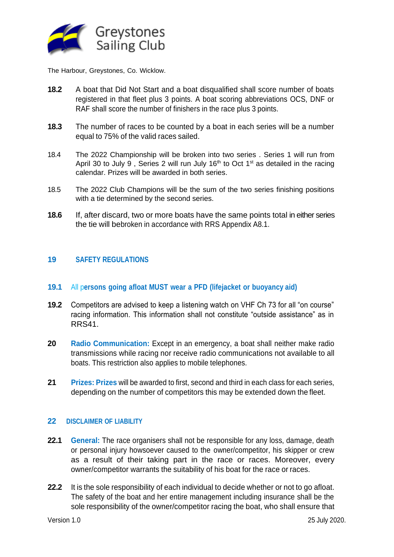

- **18.2** A boat that Did Not Start and a boat disqualified shall score number of boats registered in that fleet plus 3 points. A boat scoring abbreviations OCS, DNF or RAF shall score the number of finishers in the race plus 3 points.
- **18.3** The number of races to be counted by a boat in each series will be a number equal to 75% of the valid races sailed.
- 18.4 The 2022 Championship will be broken into two series . Series 1 will run from April 30 to July 9, Series 2 will run July  $16<sup>th</sup>$  to Oct  $1<sup>st</sup>$  as detailed in the racing calendar. Prizes will be awarded in both series.
- 18.5 The 2022 Club Champions will be the sum of the two series finishing positions with a tie determined by the second series.
- **18.6** If, after discard, two or more boats have the same points total in either series the tie will bebroken in accordance with RRS Appendix A8.1.

# **19 SAFETY REGULATIONS**

#### **19.1** All p**ersons going afloat MUST wear a PFD (lifejacket or buoyancy aid)**

- **19.2** Competitors are advised to keep a listening watch on VHF Ch 73 for all "on course" racing information. This information shall not constitute "outside assistance" as in RRS41.
- **20 Radio Communication:** Except in an emergency, a boat shall neither make radio transmissions while racing nor receive radio communications not available to all boats. This restriction also applies to mobile telephones.
- **21 Prizes: Prizes** will be awarded to first, second and third in each class for each series, depending on the number of competitors this may be extended down the fleet.

#### **22 DISCLAIMER OF LIABILITY**

- **22.1 General:** The race organisers shall not be responsible for any loss, damage, death or personal injury howsoever caused to the owner/competitor, his skipper or crew as a result of their taking part in the race or races. Moreover, every owner/competitor warrants the suitability of his boat for the race or races.
- **22.2** It is the sole responsibility of each individual to decide whether or not to go afloat. The safety of the boat and her entire management including insurance shall be the sole responsibility of the owner/competitor racing the boat, who shall ensure that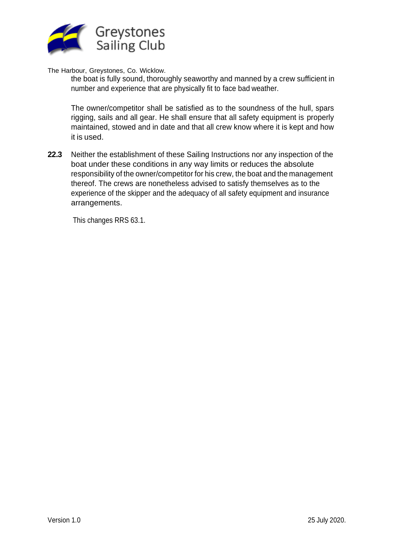

the boat is fully sound, thoroughly seaworthy and manned by a crew sufficient in number and experience that are physically fit to face bad weather.

The owner/competitor shall be satisfied as to the soundness of the hull, spars rigging, sails and all gear. He shall ensure that all safety equipment is properly maintained, stowed and in date and that all crew know where it is kept and how it is used.

**22.3** Neither the establishment of these Sailing Instructions nor any inspection of the boat under these conditions in any way limits or reduces the absolute responsibility of the owner/competitor for his crew, the boat and the management thereof. The crews are nonetheless advised to satisfy themselves as to the experience of the skipper and the adequacy of all safety equipment and insurance arrangements.

This changes RRS 63.1.